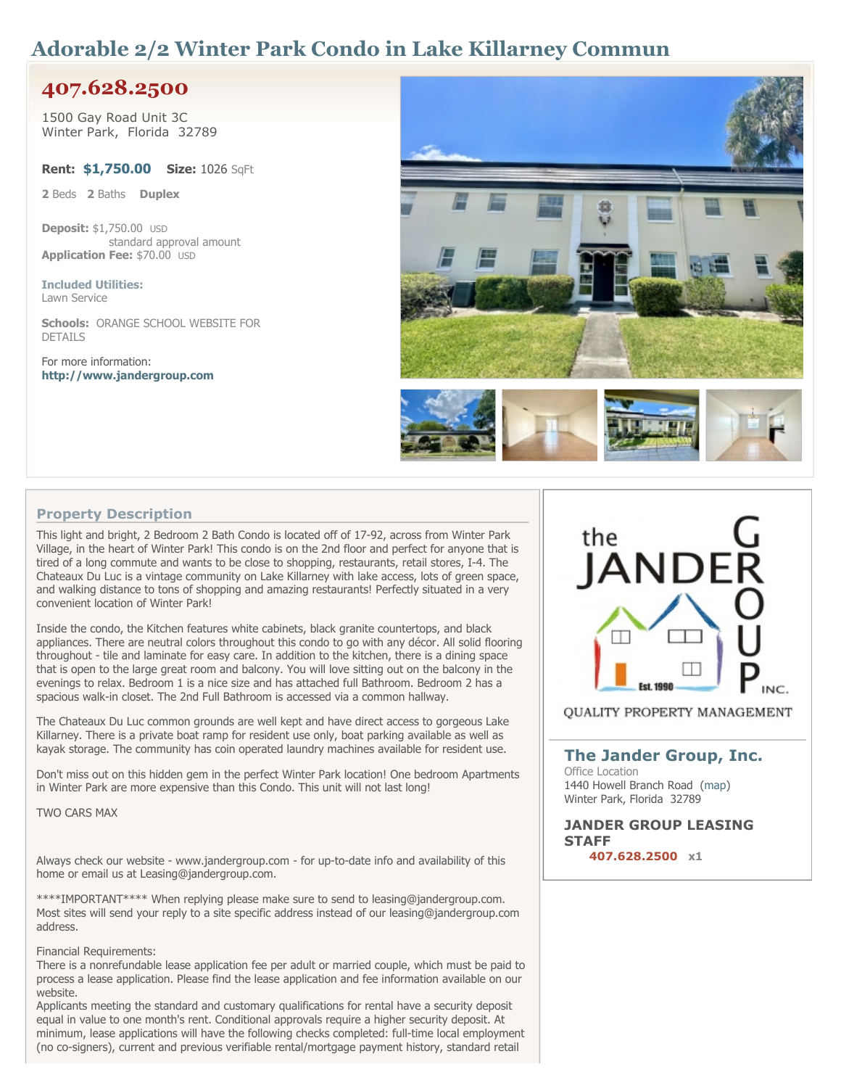# **Adorable 2/2 Winter Park Condo in Lake Killarney Commun**

# **407.628.2500**

**1500 Gay Road Unit 3C Winter Park, Florida 32789**

**Rent: \$1,750.00 Size: 1026 SqFt**

**2 Beds 2 Baths Duplex**

**Deposit: \$1,750.00 USD standard approval amount Application Fee: \$70.00 USD**

**Included Utilities: Lawn Service**

**Schools: ORANGE SCHOOL WEBSITE FOR DETAILS**

**For more information: <http://www.jandergroup.com>**



## **Property Description**

**This light and bright, 2 Bedroom 2 Bath Condo is located off of 17-92, across from Winter Park** Village, in the heart of Winter Park! This condo is on the 2nd floor and perfect for anyone that is **tired of a long commute and wants to be close to shopping, restaurants, retail stores, I-4. The Chateaux Du Luc is a vintage community on Lake Killarney with lake access, lots of green space, and walking distance to tons of shopping and amazing restaurants! Perfectly situated in a very convenient location of Winter Park!**

**Inside the condo, the Kitchen features white cabinets, black granite countertops, and black appliances. There are neutral colors throughout this condo to go with any décor. All solid flooring throughout - tile and laminate for easy care. In addition to the kitchen, there is a dining space** that is open to the large great room and balcony. You will love sitting out on the balcony in the **evenings to relax. Bedroom 1 is a nice size and has attached full Bathroom. Bedroom 2 has a spacious walk-in closet. The 2nd Full Bathroom is accessed via a common hallway.**

**The Chateaux Du Luc common grounds are well kept and have direct access to gorgeous Lake Killarney. There is a private boat ramp for resident use only, boat parking available as well as kayak storage. The community has coin operated laundry machines available for resident use.**

**Don't miss out on this hidden gem in the perfect Winter Park location! One bedroom Apartments in Winter Park are more expensive than this Condo. This unit will not last long!**

**TWO CARS MAX**

**Always check our website - www.jandergroup.com - for up-to-date info and availability of this home or email us at Leasing@jandergroup.com.**

**\*\*\*\*IMPORTANT\*\*\*\* When replying please make sure to send to leasing@jandergroup.com. Most sites will send your reply to a site specific address instead of our leasing@jandergroup.com address.**

#### **Financial Requirements:**

**There is a nonrefundable lease application fee per adult or married couple, which must be paid to process a lease application. Please find the lease application and fee information available on our website.**

**Applicants meeting the standard and customary qualifications for rental have a security deposit equal in value to one month's rent. Conditional approvals require a higher security deposit. At minimum, lease applications will have the following checks completed: full-time local employment (no co-signers), current and previous verifiable rental/mortgage payment history, standard retail**



**QUALITY PROPERTY MANAGEMENT** 

### **[The](http://www.freerentalsite.com/profile/the-jander-group-inc/) [Jander](http://www.freerentalsite.com/profile/the-jander-group-inc/) [Group,](http://www.freerentalsite.com/profile/the-jander-group-inc/) [Inc.](http://www.freerentalsite.com/profile/the-jander-group-inc/) Office Location**

**1440 Howell Branch Road [\(map\)](http://maps.google.com/maps?q=1440+Howell+Branch+Road+Winter+Park,+Florida+32789,+United+States) Winter Park, Florida 32789**

**JANDER GROUP LEASING STAFF 407.628.2500 x1**